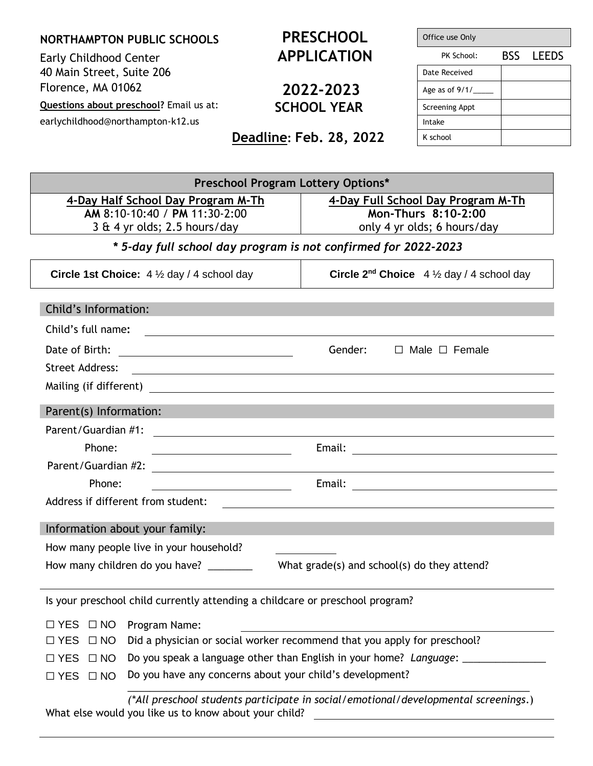| <b>Early Childhood Center</b>                                                 | <b>APPLICATION</b>                                                                                                                                                                                                                                                                                                                                                      | PK School:                                               | <b>BSS</b> | <b>LEEDS</b> |  |
|-------------------------------------------------------------------------------|-------------------------------------------------------------------------------------------------------------------------------------------------------------------------------------------------------------------------------------------------------------------------------------------------------------------------------------------------------------------------|----------------------------------------------------------|------------|--------------|--|
| 40 Main Street, Suite 206                                                     |                                                                                                                                                                                                                                                                                                                                                                         | Date Received                                            |            |              |  |
| Florence, MA 01062                                                            | 2022-2023                                                                                                                                                                                                                                                                                                                                                               | Age as of $9/1/$ <sub>_____</sub>                        |            |              |  |
| <b>Questions about preschool?</b> Email us at:                                | <b>SCHOOL YEAR</b>                                                                                                                                                                                                                                                                                                                                                      | Screening Appt                                           |            |              |  |
| earlychildhood@northampton-k12.us                                             |                                                                                                                                                                                                                                                                                                                                                                         | Intake                                                   |            |              |  |
| Deadline: Feb. 28, 2022                                                       | K school                                                                                                                                                                                                                                                                                                                                                                |                                                          |            |              |  |
|                                                                               |                                                                                                                                                                                                                                                                                                                                                                         |                                                          |            |              |  |
|                                                                               | Preschool Program Lottery Options*                                                                                                                                                                                                                                                                                                                                      |                                                          |            |              |  |
| 4-Day Half School Day Program M-Th                                            |                                                                                                                                                                                                                                                                                                                                                                         | 4-Day Full School Day Program M-Th                       |            |              |  |
| AM 8:10-10:40 / PM 11:30-2:00                                                 |                                                                                                                                                                                                                                                                                                                                                                         | Mon-Thurs 8:10-2:00                                      |            |              |  |
| 3 & 4 yr olds; 2.5 hours/day                                                  |                                                                                                                                                                                                                                                                                                                                                                         | only 4 yr olds; 6 hours/day                              |            |              |  |
|                                                                               | * 5-day full school day program is not confirmed for 2022-2023                                                                                                                                                                                                                                                                                                          |                                                          |            |              |  |
| Circle 1st Choice: $4\frac{1}{2}$ day / 4 school day                          |                                                                                                                                                                                                                                                                                                                                                                         | Circle $2^{nd}$ Choice $4\frac{1}{2}$ day / 4 school day |            |              |  |
| Child's Information:                                                          |                                                                                                                                                                                                                                                                                                                                                                         |                                                          |            |              |  |
| Child's full name:                                                            |                                                                                                                                                                                                                                                                                                                                                                         |                                                          |            |              |  |
| Date of Birth:                                                                | Gender:                                                                                                                                                                                                                                                                                                                                                                 | $\Box$ Male $\Box$ Female                                |            |              |  |
| <b>Street Address:</b>                                                        | <u> 1989 - Johann Stoff, Amerikaansk politiker († 1908)</u>                                                                                                                                                                                                                                                                                                             |                                                          |            |              |  |
|                                                                               |                                                                                                                                                                                                                                                                                                                                                                         |                                                          |            |              |  |
| Parent(s) Information:                                                        |                                                                                                                                                                                                                                                                                                                                                                         |                                                          |            |              |  |
| Parent/Guardian #1:                                                           |                                                                                                                                                                                                                                                                                                                                                                         |                                                          |            |              |  |
| Phone:                                                                        | <u> 1989 - Johann Harry Harry Harry Harry Harry Harry Harry Harry Harry Harry Harry Harry Harry Harry Harry Harry</u><br>Email:<br><u>and the company of the company of the company of the company of the company of the company of the company of the company of the company of the company of the company of the company of the company of the company of the com</u> |                                                          |            |              |  |
| Parent/Guardian #2:                                                           | <u> 1989 - Johann Barbara, martin amerikan basal da</u>                                                                                                                                                                                                                                                                                                                 |                                                          |            |              |  |
| Phone:                                                                        | Email:                                                                                                                                                                                                                                                                                                                                                                  |                                                          |            |              |  |
| Address if different from student:                                            |                                                                                                                                                                                                                                                                                                                                                                         |                                                          |            |              |  |
| Information about your family:                                                |                                                                                                                                                                                                                                                                                                                                                                         |                                                          |            |              |  |
| How many people live in your household?                                       |                                                                                                                                                                                                                                                                                                                                                                         |                                                          |            |              |  |
| How many children do you have? ________                                       | What grade(s) and school(s) do they attend?                                                                                                                                                                                                                                                                                                                             |                                                          |            |              |  |
| Is your preschool child currently attending a childcare or preschool program? |                                                                                                                                                                                                                                                                                                                                                                         |                                                          |            |              |  |
| Program Name:<br>$\Box$ YES $\Box$ NO                                         |                                                                                                                                                                                                                                                                                                                                                                         |                                                          |            |              |  |
| $\Box$ YES $\Box$ NO                                                          | Did a physician or social worker recommend that you apply for preschool?                                                                                                                                                                                                                                                                                                |                                                          |            |              |  |
| $\Box$ YES $\Box$ NO                                                          | Do you speak a language other than English in your home? Language: _____________                                                                                                                                                                                                                                                                                        |                                                          |            |              |  |

**NORTHAMPTON PUBLIC SCHOOLS** PRESCHOOL **PRESCHOOL PRESCHOOL** 

☐ YES ☐ NODo you have any concerns about your child's development?

*(\*All preschool students participate in social/emotional/developmental screenings*.) What else would you like us to know about your child?

\_\_\_\_\_\_\_\_\_\_\_\_\_\_\_\_\_\_\_\_\_\_\_\_\_\_\_\_\_\_\_\_\_\_\_\_\_\_\_\_\_\_\_\_\_\_\_\_\_\_\_\_\_\_\_\_\_\_\_\_\_\_\_\_\_\_\_\_\_\_\_\_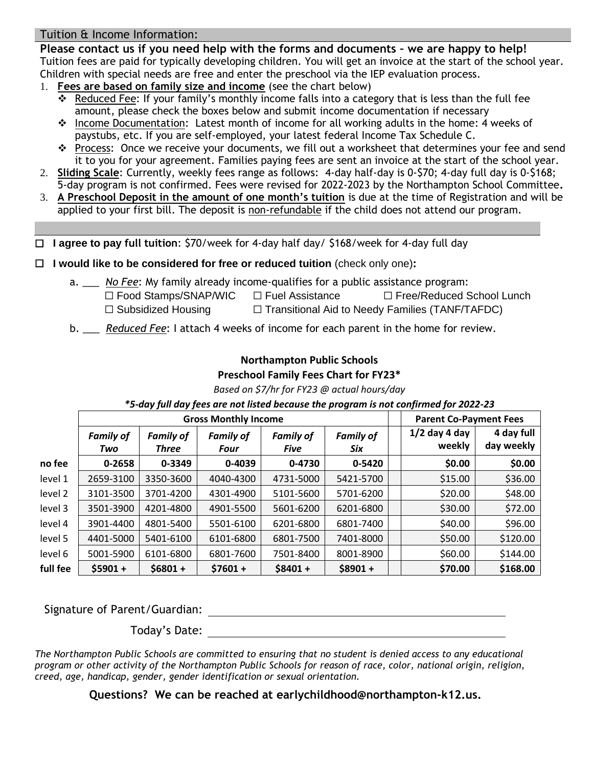**Please contact us if you need help with the forms and documents – we are happy to help!** Tuition fees are paid for typically developing children. You will get an invoice at the start of the school year. Children with special needs are free and enter the preschool via the IEP evaluation process.

- 1. **Fees are based on family size and income** (see the chart below)
	- $\div$  Reduced Fee: If your family's monthly income falls into a category that is less than the full fee amount, please check the boxes below and submit income documentation if necessary
	- $\div$  Income Documentation: Latest month of income for all working adults in the home: 4 weeks of paystubs, etc. If you are self-employed, your latest federal Income Tax Schedule C.
	- ❖ Process: Once we receive your documents, we fill out a worksheet that determines your fee and send it to you for your agreement. Families paying fees are sent an invoice at the start of the school year.
- 2. **Sliding Scale**: Currently, weekly fees range as follows: 4-day half-day is 0-\$70; 4-day full day is 0-\$168; 5-day program is not confirmed. Fees were revised for 2022-2023 by the Northampton School Committee**.**
- 3. **A Preschool Deposit in the amount of one month's tuition** is due at the time of Registration and will be applied to your first bill. The deposit is non-refundable if the child does not attend our program.
- ☐ **I agree to pay full tuition**: \$70/week for 4-day half day/ \$168/week for 4-day full day
- ☐ **I would like to be considered for free or reduced tuition** (check only one)**:**
	- a. \_\_\_ *No Fee*: My family already income-qualifies for a public assistance program: ☐ Food Stamps/SNAP/WIC ☐ Fuel Assistance ☐ Free/Reduced School Lunch ☐ Subsidized Housing ☐ Transitional Aid to Needy Families (TANF/TAFDC)
	- b. \_\_\_ *Reduced Fee*: I attach 4 weeks of income for each parent in the home for review.

## **Northampton Public Schools Preschool Family Fees Chart for FY23\***

*Based on \$7/hr for FY23 @ actual hours/day*

## Gross Monthly Income **Parent Co-Payment Fees** *Family of Two Family of Three Family of Four Family of Five Family of Six* **1/2 day 4 day weekly 4 day full day weekly no fee 0-2658 0-3349 0-4039 0-4730 0-5420 \$0.00 \$0.00** level 1 | 2659-3100 | 3350-3600 | 4040-4300 | 4731-5000 | 5421-5700 | | \$15.00 | \$36.00 level 2 | 3101-3500 | 3701-4200 | 4301-4900 | 5101-5600 | 5701-6200 | | \$20.00 | \$48.00 level 3 | 3501-3900 | 4201-4800 | 4901-5500 | 5601-6200 | 6201-6800 | | \$30.00 | \$72.00 level 4 | 3901-4400 | 4801-5400 | 5501-6100 | 6201-6800 | 6801-7400 | | \$40.00 | \$96.00 level 5 | 4401-5000 | 5401-6100 | 6101-6800 | 6801-7500 | 7401-8000 | | \$50.00 | \$120.00 level 6 | 5001-5900 | 6101-6800 | 6801-7600 | 7501-8400 | 8001-8900 | | \$60.00 | \$144.00 **full fee \$5901 + \$6801 + \$7601 + \$8401 + \$8901 + \$70.00 \$168.00**

*\*5-day full day fees are not listed because the program is not confirmed for 2022-23*

Signature of Parent/Guardian:

Today's Date:

*The Northampton Public Schools are committed to ensuring that no student is denied access to any educational program or other activity of the Northampton Public Schools for reason of race, color, national origin, religion, creed, age, handicap, gender, gender identification or sexual orientation.* 

**Questions? We can be reached at earlychildhood@northampton-k12.us.**